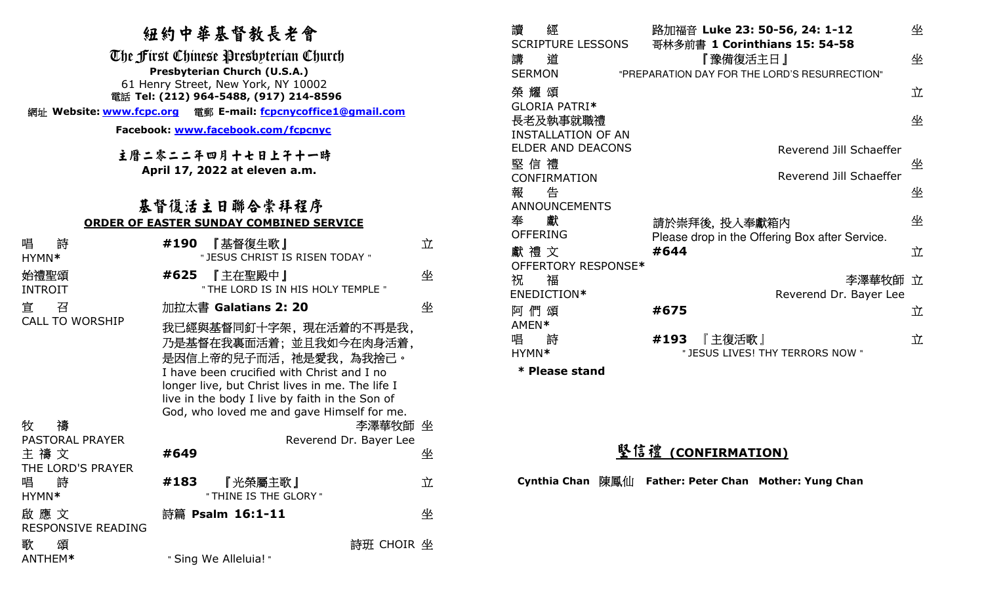## 紐約中華基督教長老會

|                                                                                                                                                                                                                        | <b>RLSJ I 3F AN EI 3FX DK 7L EI</b>                                                                                                                                                                                                                                        |   |  |  |  |
|------------------------------------------------------------------------------------------------------------------------------------------------------------------------------------------------------------------------|----------------------------------------------------------------------------------------------------------------------------------------------------------------------------------------------------------------------------------------------------------------------------|---|--|--|--|
| The First Chinese Presbpterian Church<br>Presbyterian Church (U.S.A.)<br>61 Henry Street, New York, NY 10002<br>電話 Tel: (212) 964-5488, (917) 214-8596<br>網址 Website: www.fcpc.org 電郵 E-mail: fcpcnycoffice1@gmail.com |                                                                                                                                                                                                                                                                            |   |  |  |  |
|                                                                                                                                                                                                                        |                                                                                                                                                                                                                                                                            |   |  |  |  |
|                                                                                                                                                                                                                        | 主曆二零二二年四月十七日上午十一時<br>April 17, 2022 at eleven a.m.                                                                                                                                                                                                                         |   |  |  |  |
|                                                                                                                                                                                                                        |                                                                                                                                                                                                                                                                            |   |  |  |  |
| 基督復活主日聯合崇拜程序<br><u>ORDER OF EASTER SUNDAY COMBINED SERVICE</u>                                                                                                                                                         |                                                                                                                                                                                                                                                                            |   |  |  |  |
| 唱<br>詩<br>HYMN*                                                                                                                                                                                                        | #190<br>『基督復生歌』<br>" JESUS CHRIST IS RISEN TODAY "                                                                                                                                                                                                                         | 立 |  |  |  |
| 始禮聖頌<br>INTROIT                                                                                                                                                                                                        | #625<br>『主在聖殿中』<br>" THE LORD IS IN HIS HOLY TEMPLE "                                                                                                                                                                                                                      | 坐 |  |  |  |
| 宜<br>召                                                                                                                                                                                                                 | 加拉太書 Galatians 2: 20                                                                                                                                                                                                                                                       | 坐 |  |  |  |
| <b>CALL TO WORSHIP</b>                                                                                                                                                                                                 | 我已經與基督同釘十字架,現在活着的不再是我,<br>乃是基督在我裏面活着;並且我如今在肉身活着,<br>是因信上帝的兒子而活,祂是愛我,為我捨己。<br>I have been crucified with Christ and I no<br>longer live, but Christ lives in me. The life I<br>live in the body I live by faith in the Son of<br>God, who loved me and gave Himself for me. |   |  |  |  |
| 牧<br>禱                                                                                                                                                                                                                 | 李澤華牧師 坐                                                                                                                                                                                                                                                                    |   |  |  |  |
| <b>PASTORAL PRAYER</b><br>主 禱 文<br>THE LORD'S PRAYER                                                                                                                                                                   | Reverend Dr. Bayer Lee<br>#649                                                                                                                                                                                                                                             | 坐 |  |  |  |
| 唱<br>詩<br>HYMN*                                                                                                                                                                                                        | 『光榮屬主歌』<br>#183<br>" THINE IS THE GLORY "                                                                                                                                                                                                                                  | 立 |  |  |  |
| 啟 應 文<br>RESPONSIVE READING                                                                                                                                                                                            | 詩篇 Psalm 16:1-11                                                                                                                                                                                                                                                           | 坐 |  |  |  |
| 頌<br>歌                                                                                                                                                                                                                 | 詩班 CHOIR 坐                                                                                                                                                                                                                                                                 |   |  |  |  |

讀 經 SCRIPTURE LESSONS路加福音 **Luke 23: 50-56, 24: 1-12**  哥林多前書 **1 Corinthians 15: 54-58** 坐 講 道 『 』 『 『 豫備復活主日 』 SERMON "PREPARATION DAY FOR THE LORD'S RESURRECTION" 坐 榮 耀 頌 GLORIA PATRI**\***  長老及執事就職禮立 INSTALLATION OF AN ELDER AND DEACONS Reverend Jill Schaeffer坐 堅信禮 CONFIRMATION Reverend Jill Schaeffer坐 報 告 ANNOUNCEMENTS 坐 奉 獻 OFFERING 獻 禮 文 請於崇拜後, 投入奉獻箱內 Please drop in the Offering Box after Service. 坐 OFFERTORY RESPONSE**\*#644** 立 祝 福 BENEDICTION**\*** 李 Reverend Dr. Bayer Lee澤華牧師 立阿 們 頌 AMEN**\* #675**  立 唱 詩 HYMN**\*#193** 『<sup>主</sup>復活歌』 " JESUS LIVES! THY TERRORS NOW " 立

**\* Please stand** 

# 堅信禮 **(CONFIRMATION)**

**Cynthia Chan**陳鳳仙 **Father: Peter Chan Mother: Yung Chan** 

" Sing We Alleluia! "

ANTHEM**\***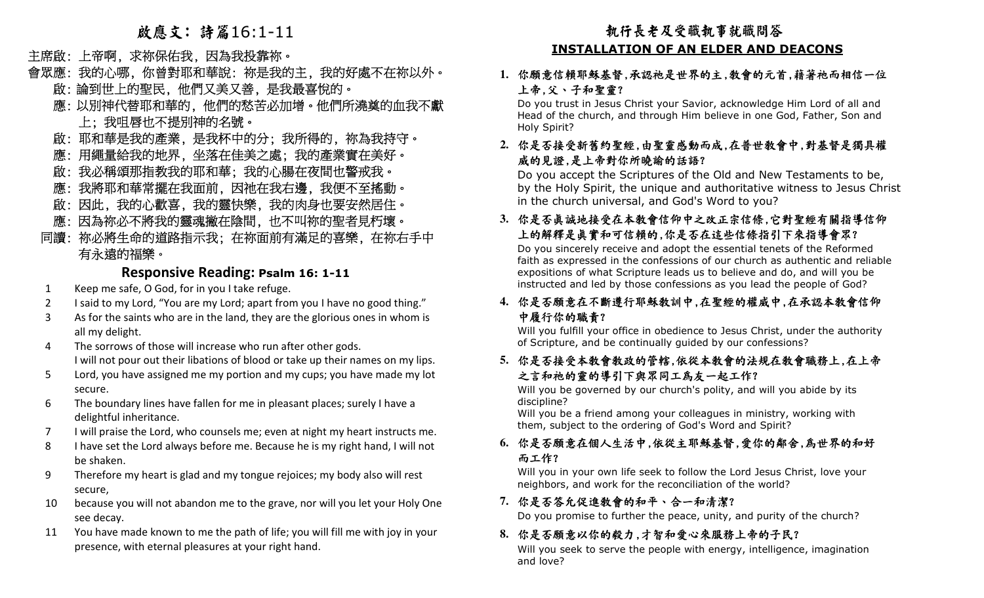### 啟應文: 詩篇16:1-11

#### 主席啟: 上帝啊, 求祢保佑我, 因為我投靠祢。

- 會眾應: 我的心哪, 你曾對耶和華說: 祢是我的主, 我的好處不在祢以外。 啟: 論到世上的聖民, 他們又美又善, 是我最喜悅的。
- 應: 以別神代替耶和華的, 他們的愁苦必加增。他們所澆奠的血我不獻

#### 上; 我咀唇也不提別神的名號。

- 啟: 耶和華是我的產業, 是我杯中的分; 我所得的, 祢為我持守。
- 應: 用繩量給我的地界, 坐落在佳美之處; 我的產業實在美好。
- 啟: 我必稱頌那指教我的耶和華; 我的心腸在夜間也警戒我。
- 應: 我將耶和華常擺在我面前, 因祂在我右邊, 我便不至搖動。
- 啟: 因此, 我的心歡喜, 我的靈快樂, 我的肉身也要安然居住。
- 應: 因為祢必不將我的靈魂撇在陰間, 也不叫祢的聖者見朽壞。
- 同讀: 祢必將生命的道路指示我; 在祢面前有滿足的喜樂, 在祢右手中 有永遠的福樂。

### **Responsive Reading: Psalm 16: 1-11**

- 1Keep me safe, O God, for in you I take refuge.
- 2I said to my Lord, "You are my Lord; apart from you I have no good thing."
- 3 As for the saints who are in the land, they are the glorious ones in whom is all my delight.
- 4 The sorrows of those will increase who run after other gods. I will not pour out their libations of blood or take up their names on my lips.
- 5 Lord, you have assigned me my portion and my cups; you have made my lot secure.
- 6 The boundary lines have fallen for me in pleasant places; surely I have a delightful inheritance.
- 7I will praise the Lord, who counsels me; even at night my heart instructs me.
- 8 I have set the Lord always before me. Because he is my right hand, I will not be shaken.
- 9 Therefore my heart is glad and my tongue rejoices; my body also will rest secure,
- 10 because you will not abandon me to the grave, nor will you let your Holy One see decay.
- 11 You have made known to me the path of life; you will fill me with joy in your presence, with eternal pleasures at your right hand.

#### 你願意信賴耶穌基督,承認祂是世界的主,教會的元首,藉著祂而相信一位 上帝,父、子和聖靈?

 Do you trust in Jesus Christ your Savior, acknowledge Him Lord of all and Head of the church, and through Him believe in one God, Father, Son and Holy Spirit?

#### **2.**你是否接受新舊約聖經,由聖靈感動而成,在普世教會中,對基督是獨具權 威的見證,是上帝對你所曉諭的話語?

 Do you accept the Scriptures of the Old and New Testaments to be, by the Holy Spirit, the unique and authoritative witness to Jesus Christ in the church universal, and God's Word to you?

#### **3.**你是否真誠地接受在本教會信仰中之改正宗信條,它對聖經有關指導信仰 上的解釋是真實和可信賴的,你是否在這些信條指引下來指導會眾?

 $\begin{aligned} \frac{\textbf{R} \ddot{\textbf{R}} \ddot{\textbf{R}} \ddot{\textbf{R}} \ddot{\textbf{R}} \ddot{\textbf{R}} \ddot{\textbf{R}} \ddot{\textbf{R}} \ddot{\textbf{R}} \ddot{\textbf{R}} \ddot{\textbf{R}} \ddot{\textbf{R}} \ddot{\textbf{R}} \ddot{\textbf{R}} \ddot{\textbf{R}} \ddot{\textbf{R}} \ddot{\textbf{R}} \ddot{\textbf{R}} \ddot{\textbf{R}} \ddot{\textbf{R}} \ddot{\textbf{R}} \ddot{\textbf{R}} \ddot{\textbf{R}} \ddot{\textbf{R$  Do you sincerely receive and adopt the essential tenets of the Reformed faith as expressed in the confessions of our church as authentic and reliable expositions of what Scripture leads us to believe and do, and will you be instructed and led by those confessions as you lead the people of God?

#### **4.**你是否願意在不斷遵行耶穌教訓中,在聖經的權威中,在承認本教會信仰 中履行你的職責?

 Will you fulfill your office in obedience to Jesus Christ, under the authority of Scripture, and be continually guided by our confessions?

#### **5.**你是否接受本教會教政的管轄,依從本教會的法規在教會職務上,在上帝 之言和祂的靈的導引下與眾同工爲友一起工作?

 Will you be governed by our church's polity, and will you abide by its discipline?

 Will you be a friend among your colleagues in ministry, working with them, subject to the ordering of God's Word and Spirit?

#### **6.**你是否願意在個人生活中,依從主耶穌基督,愛你的鄰舍,為世界的和好 而工作?

 Will you in your own life seek to follow the Lord Jesus Christ, love your neighbors, and work for the reconciliation of the world?

#### **7.**你是否答允促進教會的和平、合一和清潔?

Do you promise to further the peace, unity, and purity of the church?

#### **8.**你是否願意以你的毅力,才智和愛心來服務上帝的子民?

 Will you seek to serve the people with energy, intelligence, imagination and love?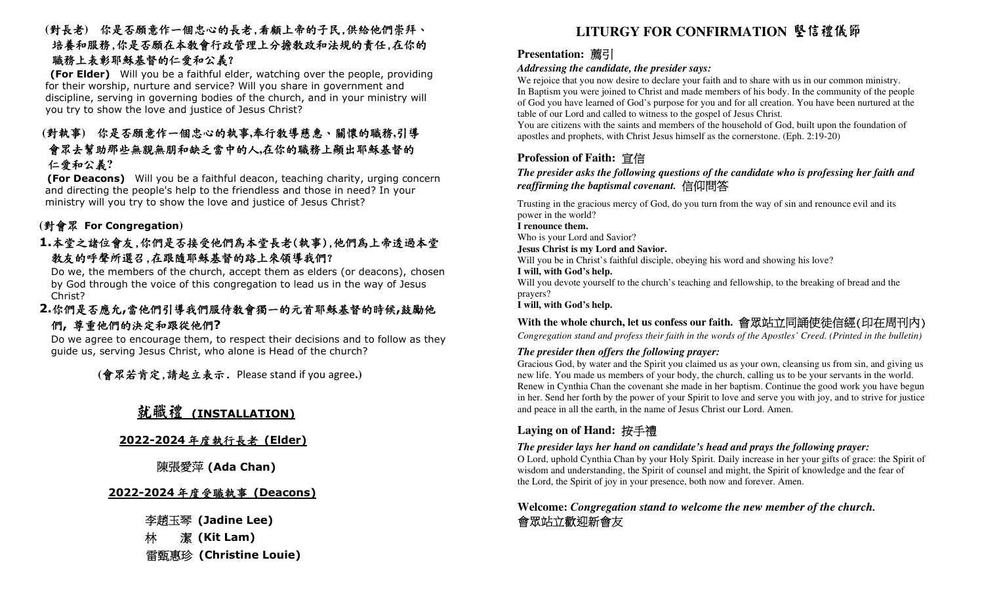#### **(**對長老**)** 你是否願意作一個忠心的長老,看顧上帝的子民,供給他們崇拜、 培養和服務,你是否願在本教會行政管理上分擔教政和法規的責任,在你的 職務上表彰耶穌基督的仁愛和公義?

 **(For Elder)** Will you be a faithful elder, watching over the people, providing for their worship, nurture and service? Will you share in government and discipline, serving in governing bodies of the church, and in your ministry will you try to show the love and justice of Jesus Christ?

#### **(**對執事**)** 你是否願意作一個忠心的執事**,**奉行教導慈惠、關懷的職務**,**引導 會眾去幫助那些無親無朋和缺乏當中的人**,**在你的職務上顯出耶穌基督的仁愛和公義**?**

 **(For Deacons)** Will you be a faithful deacon, teaching charity, urging concern and directing the people's help to the friendless and those in need? In your ministry will you try to show the love and justice of Jesus Christ?

## **(**對會眾 **For Congregation)**

#### **1.**本堂之諸位會友,你們是否接受他們為本堂長老(執事),他們為上帝透過本堂教友的呼聲所選召,在跟隨耶穌基督的路上來領導我們?

 Do we, the members of the church, accept them as elders (or deacons), chosen by God through the voice of this congregation to lead us in the way of Jesus Christ?

#### **2.**你們是否應允**,**當他們引導我們服侍教會獨一的元首耶穌基督的時候**,**鼓勵他們**,** 尊重他們的決定和跟從他們**?**

 Do we agree to encourage them, to respect their decisions and to follow as they guide us, serving Jesus Christ, who alone is Head of the church?

 **(**會眾若肯定,請起立表示. Please stand if you agree**.)**

# 就職禮 **(INSTALLATION)**

## **2022-2024**年度執行長老 **(Elder)**

#### 陳張愛萍 **(Ada Chan)**

## **2022-2024**年度受職執事 **(Deacons)**

李趙玉琴 **(Jadine Lee)**  林 潔 **(Kit Lam)** 医血管 医血管 医血管 医血管 医心理学 医心理学 医心理学 医心理学 医心理学 甄惠

#### 薦引

#### *Addressing the candidate, the presider says:*

 We rejoice that you now desire to declare your faith and to share with us in our common ministry. In Baptism you were joined to Christ and made members of his body. In the community of the people of God you have learned of God's purpose for you and for all creation. You have been nurtured at the table of our Lord and called to witness to the gospel of Jesus Christ.

 You are citizens with the saints and members of the household of God, built upon the foundation of apostles and prophets, with Christ Jesus himself as the cornerstone. (Eph. 2:19-20)

#### **Profession of Faith:** 宣信

#### *The presider asks the following questions of the candidate who is professing her faith and reaffirming the baptismal covenant.*信仰問答

 Trusting in the gracious mercy of God, do you turn from the way of sin and renounce evil and its power in the world?

**I renounce them.** 

Who is your Lord and Savior?

#### **Jesus Christ is my Lord and Savior.**

Will you be in Christ's faithful disciple, obeying his word and showing his love?

**I will, with God's help.** 

 Will you devote yourself to the church's teaching and fellowship, to the breaking of bread and the prayers?

**I will, with God's help.** 

#### **With the whole church, let us confess our faith.** 會眾站立同誦使徒信經(印在周刊內)

*Congregation stand and profess their faith in the words of the Apostles' Creed. (Printed in the bulletin)*

#### *The presider then offers the following prayer:*

**NEW ARE AREAS AREAS AREAS AREAS AREAS AREAS AREAS AREAS AREAS AREAS AREAS AREAS AREAS AREAS AREAS AREAS AREAS AREAS AREAS AREAS AREAS AREAS AREAS AREAS AREAS AREAS AREAS AREAS AREAS AREAS AREAS AREAS AREAS AREAS AREAS AR**  Gracious God, by water and the Spirit you claimed us as your own, cleansing us from sin, and giving us new life. You made us members of your body, the church, calling us to be your servants in the world. Renew in Cynthia Chan the covenant she made in her baptism. Continue the good work you have begun in her. Send her forth by the power of your Spirit to love and serve you with joy, and to strive for justice and peace in all the earth, in the name of Jesus Christ our Lord. Amen.

#### **Laying on of Hand:** 按手禮

#### *The presider lays her hand on candidate's head and prays the following prayer:*

 O Lord, uphold Cynthia Chan by your Holy Spirit. Daily increase in her your gifts of grace: the Spirit of wisdom and understanding, the Spirit of counsel and might, the Spirit of knowledge and the fear of the Lord, the Spirit of joy in your presence, both now and forever. Amen.

#### **Welcome:** *Congregation stand to welcome the new member of the church.* 會眾站立歡迎新會友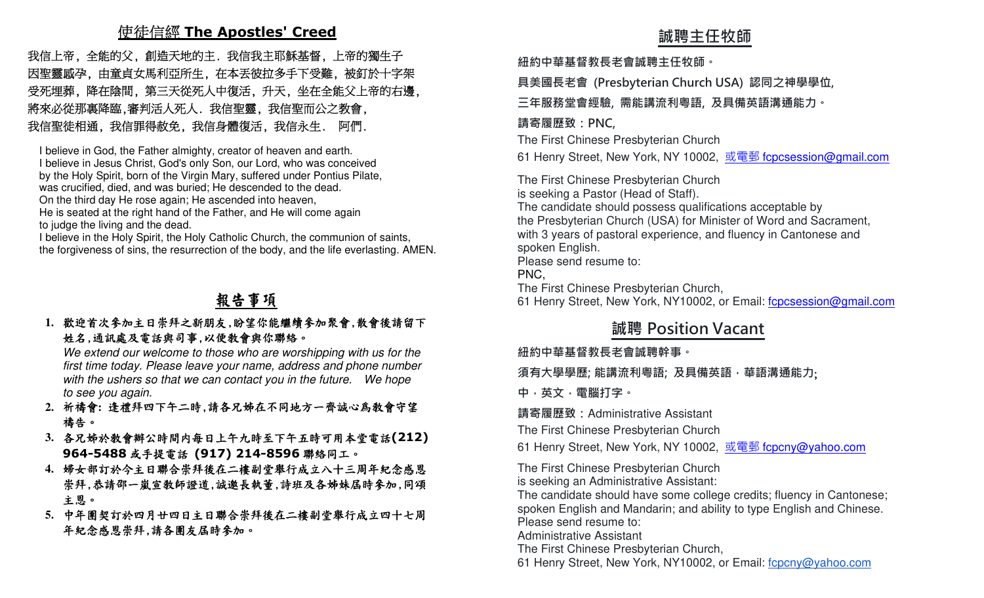# 使徒信經 **The Apostles' Creed**

 我信上帝, 全能的父, 創造天地的主. 我信我主耶穌基督, 上帝的獨生子 因聖靈感孕, 由童貞女馬利亞所生, 在本丟彼拉多手下受難, 被釘於十字架 受死埋葬, 降在陰間, 第三天從死人中復活, 升天, 坐在全能父上帝的右邊, 將來必從那裏降臨,審判活人死人. 我信聖靈, 我信聖而公之教會, 我信聖徒相通, 我信罪得赦免, 我信身體復活, 我信永生. 阿們. **誠聘主任牧師** 

I believe in God, the Father almighty, creator of heaven and earth.

I believe in Jesus Christ, God's only Son, our Lord, who was conceived

by the Holy Spirit, born of the Virgin Mary, suffered under Pontius Pilate,

was crucified, died, and was buried; He descended to the dead.

On the third day He rose again; He ascended into heaven,

 He is seated at the right hand of the Father, and He will come again to judge the living and the dead.

 I believe in the Holy Spirit, the Holy Catholic Church, the communion of saints, the forgiveness of sins, the resurrection of the body, and the life everlasting. AMEN.

## 報告事項

#### **1.**歡迎首次參加主日崇拜之新朋友,盼望你能繼續參加聚會,散會後請留下 姓名,通訊處及電話與司事,以便教會與你聯絡。

 We extend our welcome to those who are worshipping with us for the first time today. Please leave your name, address and phone number with the ushers so that we can contact you in the future. We hope to see you again.

- **2.**祈禱會**:** 逢禮拜四下午二時,請各兄姊在不同地方一齊誠心為教會守望 禱告。
- **3.**各兄姊於教會辦公時間內每日上午九時至下午五時可用本堂電話**(212) 964-5488**或手提電話 **(917) 214-8596** 聯絡同工。
- **4.**婦女部訂於今主日聯合崇拜後在二樓副堂舉行成立八十三周年紀念感恩 崇拜,恭請邵一嵐宣教師證道,誠邀長執董,詩班及各姊妹屆時參加,同頌 主恩。
- **5.**中年團契訂於四月廿四日主日聯合崇拜後在二樓副堂舉行成立四十七周 年紀念感恩崇拜,請各團友屆時參加。

**紐約中華基督教⻑老會誠聘主任牧師。**

**具美國⻑老會 (Presbyterian Church USA) 認同之神學學位,** 

**三年服務堂會經驗, 需能講流利粵語, 及具備英語溝通能力。** 

#### **請寄履歷致:PNC,**

The First Chinese Presbyterian Church

61 Henry Street, New York, NY 10002, <u>或電郵 f<mark>cpcsession@gmail.co</mark>m</u>

The First Chinese Presbyterian Church is seeking a Pastor (Head of Staff). The candidate should possess qualifications acceptable by the Presbyterian Church (USA) for Minister of Word and Sacrament, with 3 years of pastoral experience, and fluency in Cantonese and spoken English. Please send resume to: PNC, The First Chinese Presbyterian Church,61 Henry Street, New York, NY10002, or Email: f**cpcsession@gmail.com** 

## **誠聘 Position Vacant**

**紐約中華基督教⻑老會誠聘幹事。**

**須有大學學歷; 能講流利粵語; 及具備英語,華語溝通能力**;

**中,英文,電腦打字。 請寄履歷致:**Administrative Assistant

The First Chinese Presbyterian Church

61 Henry Street, New York, NY 10002, <u>或電郵 f<mark>cpcny@yahoo.com</mark></u>

The First Chinese Presbyterian Church

is seeking an Administrative Assistant:

 The candidate should have some college credits; fluency in Cantonese; spoken English and Mandarin; and ability to type English and Chinese.

Please send resume to:

Administrative Assistant

The First Chinese Presbyterian Church,

61 Henry Street, New York, NY10002, or Email: fcpcny@yahoo.com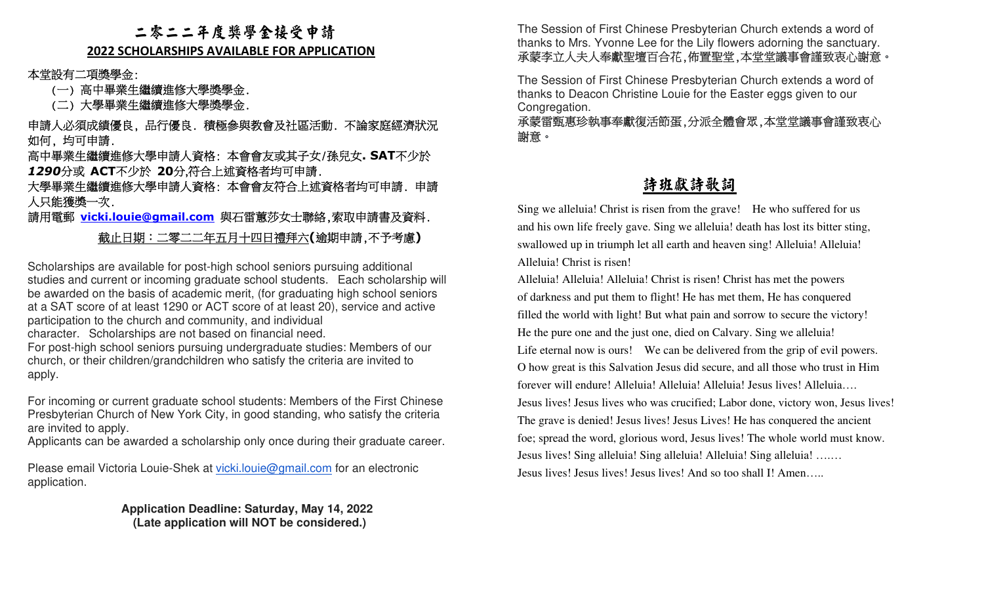#### 二零二二年度獎學金接受申請

#### **2022 SCHOLARSHIPS AVAILABLE FOR APPLICATION**

本堂設有二項獎學金:

(一) 高中畢業生繼續進修大學獎學金.

(二) 大學畢業生繼續進修大學獎學金.

 申請人必須成績優良, 品行優良. 積極參與教會及社區活動. 不論家庭經濟狀況 如何, 均可申請.

 高中畢業生繼續進修大學申請人資格: 本會會友或其子女/孫兒女**. SAT**不少於*1290*分或 **ACT**不少於 **20**分,符合上述資格者均可申請.

 大學畢業生繼續進修大學申請人資格: 本會會友符合上述資格者均可申請. 申請 人只能獲獎一次.

請用電郵 **vicki.louie@gmail.com** 與石雷蕙莎女士聯絡,索取申請書及資料.

#### 截止日期:二零二二年五月十四日禮拜六**(**逾期申請,不予考慮**)**

Scholarships are available for post-high school seniors pursuing additional studies and current or incoming graduate school students. Each scholarship will be awarded on the basis of academic merit, (for graduating high school seniors at a SAT score of at least 1290 or ACT score of at least 20), service and active participation to the church and community, and individual character. Scholarships are not based on financial need.

 For post-high school seniors pursuing undergraduate studies: Members of our church, or their children/grandchildren who satisfy the criteria are invited to apply.

For incoming or current graduate school students: Members of the First Chinese Presbyterian Church of New York City, in good standing, who satisfy the criteria are invited to apply.

Applicants can be awarded a scholarship only once during their graduate career.

Please email Victoria Louie-Shek at vicki.louie@gmail.com for an electronic application.

> **Application Deadline: Saturday, May 14, 2022 (Late application will NOT be considered.)**

承蒙李立人夫人奉獻聖壇百合花,佈置聖堂,本堂堂議事會謹致衷心謝意。

The Session of First Chinese Presbyterian Church extends a word of thanks to Deacon Christine Louie for the Easter eggs given to our Congregation.

 承蒙雷甄惠珍執事奉獻復活節蛋,分派全體會眾,本堂堂議事會謹致衷心 謝意。

## 詩班獻詩歌詞

Sing we alleluia! Christ is risen from the grave! He who suffered for us and his own life freely gave. Sing we alleluia! death has lost its bitter sting, swallowed up in triumph let all earth and heaven sing! Alleluia! Alleluia! Alleluia! Christ is risen!

**The Session of First Chinese Research First Chinese Presbyterian Chinese Research Chinese Session of First Chinese Research Christian Church extends a word of the Victor Chinese Research (No. 2007)<br>
<br>
The Session of Fir** Alleluia! Alleluia! Alleluia! Christ is risen! Christ has met the powers of darkness and put them to flight! He has met them, He has conquered filled the world with light! But what pain and sorrow to secure the victory! He the pure one and the just one, died on Calvary. Sing we alleluia! Life eternal now is ours! We can be delivered from the grip of evil powers. O how great is this Salvation Jesus did secure, and all those who trust in Him forever will endure! Alleluia! Alleluia! Alleluia! Jesus lives! Alleluia…. Jesus lives! Jesus lives who was crucified; Labor done, victory won, Jesus lives! The grave is denied! Jesus lives! Jesus Lives! He has conquered the ancient foe; spread the word, glorious word, Jesus lives! The whole world must know. Jesus lives! Sing alleluia! Sing alleluia! Alleluia! Sing alleluia! ….… Jesus lives! Jesus lives! Jesus lives! And so too shall I! Amen…..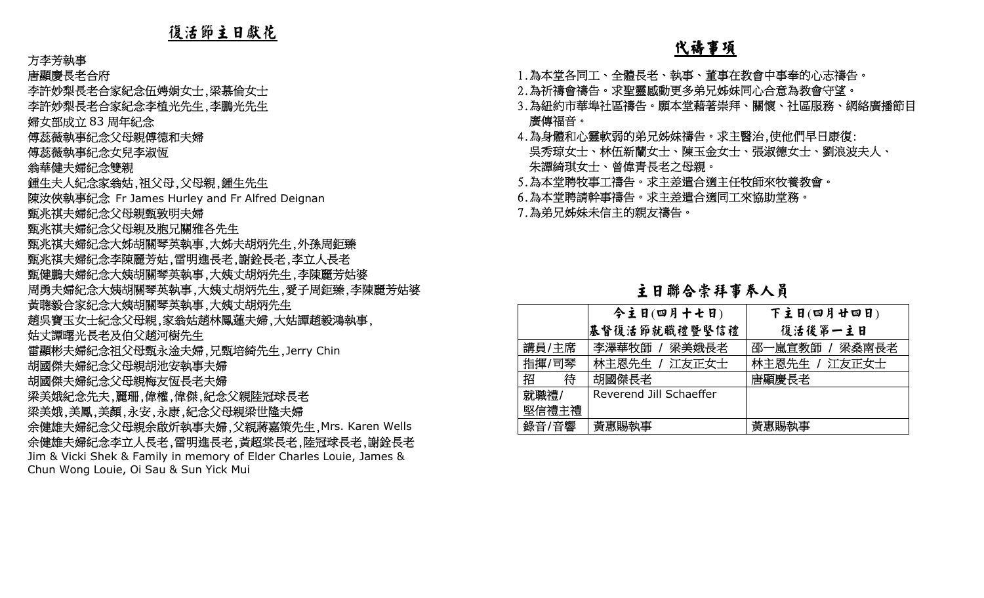#### 方李芳執事

唐顯慶長老合府

李許妙梨長老合家紀念伍娉娟女士,梁慕倫女士

李許妙梨長老合家紀念李植光先生,李鵬光先生

婦女部成立 83 周年紀念<br>僧苾慈劫車纪会分丹祖僧

傅蕊薇執事紀念父母親傅德和夫婦

傅蕊薇執事紀念女兒李淑恆

翁華健夫婦紀念雙親

 鍾生夫人紀念家翁姑,祖父母,父母親,鍾生先生

陳汝俠執事紀念 Fr James Hurley and Fr Alfred Deignan

甄兆祺夫婦紀念父母親甄敦明夫婦

甄兆祺夫婦紀念父母親及胞兄關雅各先生

甄兆祺夫婦紀念大姊胡關琴英執事,大姊夫胡炳先生,外孫周鉅臻

甄兆祺夫婦紀念李陳麗芳姑,雷明進長老,謝銓長老,李立人長老

甄健鵬夫婦紀念大姨胡關琴英執事,大姨丈胡炳先生,李陳麗芳姑婆

周勇夫婦紀念大姨胡關琴英執事,大姨丈胡炳先生,愛子周鉅臻,李陳麗芳姑婆

黃聰毅合家紀念大姨胡關琴英執事,大姨丈胡炳先生

趙吳寶玉女士紀念父母親,家翁姑趙林鳳蓮夫婦,大姑譚趙毅鴻執事,

姑丈譚曙光長老及伯父趙河樹先生

雷顯彬夫婦紀念祖父母甄永淦夫婦,兄甄培綺先生,Jerry Chin

胡國傑夫婦紀念父母親胡池安執事夫婦

胡國傑夫婦紀念父母親梅友恆長老夫婦

梁美娥紀念先夫,麗珊,偉權,偉傑,紀念父親陸冠球長老

梁美娥,美鳳,美顏,永安,永康,紀念父母親梁世隆夫婦

 余健雄夫婦紀念父母親余啟炘執事夫婦,父親蔣嘉策先生,Mrs. Karen Wells 余健雄夫婦紀念李立人長老,雷明進長老,黃超棠長老,陸冠球長老,謝銓長老 Jim & Vicki Shek & Family in memory of Elder Charles Louie, James & Chun Wong Louie, Oi Sau & Sun Yick Mui

### 代禱事項

1.為本堂各同工、全體長老、執事、董事在教會中事奉的心志禱告。

2.為祈禱會禱告。求聖靈感動更多弟兄姊妹同心合意為教會守望。

 3.為紐約市華埠社區禱告。願本堂藉著崇拜、關懷、社區服務、網絡廣播節目 廣傳福音。

 4.為身體和心靈軟弱的弟兄姊妹禱告。求主醫治,使他們早日康復: 吳秀琼女士、林伍新蘭女士、陳玉金女士、張淑德女士、劉浪波夫人、 朱譚綺琪女士、曾偉青長老之母親。

5.為本堂聘牧事工禱告。求主差遣合適主任牧師來牧養教會。

6.為本堂聘請幹事禱告。求主差遣合適同工來協助堂務。

7.為弟兄姊妹未信主的親友禱告。

#### 主日聯合崇拜事奉人員

|        | 今主日(四月十七日)              | 下主日(四月廿四日)     |
|--------|-------------------------|----------------|
|        | 基督復活節就職禮暨堅信禮            | 復活後第一主日        |
| 講員/主席  | 李澤華牧師 / 梁美娥長老           | 邵一嵐宣教師 / 梁燊南長老 |
| 指揮/司琴  | 林主恩先生 / 江友正女士           | 林主恩先生 / 江友正女士  |
| 招<br>待 | 胡國傑長老                   | 唐顯慶長老          |
| 就職禮/   | Reverend Jill Schaeffer |                |
| 堅信禮主禮  |                         |                |
| 錄音/音響  | 黃惠賜執事                   | 黃惠賜執事          |